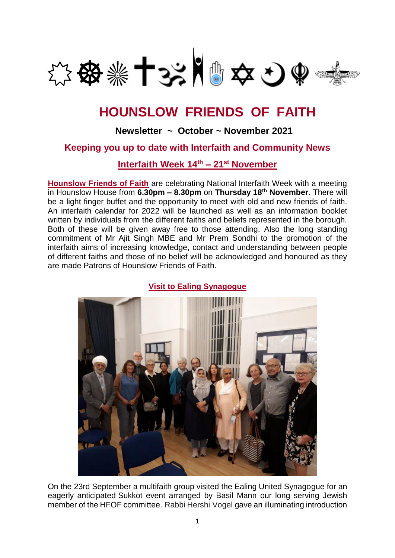

# **HOUNSLOW FRIENDS OF FAITH**

## **Newsletter ~ October ~ November 2021**

### **Keeping you up to date with Interfaith and Community News**

**Interfaith Week 14th – 21st November**

**Hounslow Friends of Faith** are celebrating National Interfaith Week with a meeting in Hounslow House from **6.30pm – 8.30pm** on **Thursday 18th November**. There will be a light finger buffet and the opportunity to meet with old and new friends of faith. An interfaith calendar for 2022 will be launched as well as an information booklet written by individuals from the different faiths and beliefs represented in the borough. Both of these will be given away free to those attending. Also the long standing commitment of Mr Ajit Singh MBE and Mr Prem Sondhi to the promotion of the interfaith aims of increasing knowledge, contact and understanding between people of different faiths and those of no belief will be acknowledged and honoured as they are made Patrons of Hounslow Friends of Faith.



**Visit to Ealing Synagogue**

On the 23rd September a multifaith group visited the Ealing United Synagogue for an eagerly anticipated Sukkot event arranged by Basil Mann our long serving Jewish member of the HFOF committee. Rabbi Hershi Vogel gave an illuminating introduction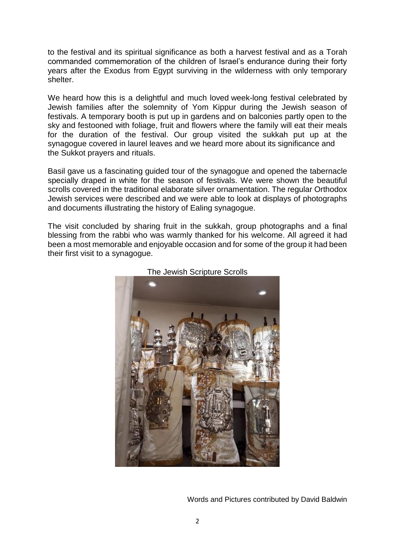to the festival and its spiritual significance as both a harvest festival and as a Torah commanded commemoration of the children of Israel's endurance during their forty years after the Exodus from Egypt surviving in the wilderness with only temporary shelter.

We heard how this is a delightful and much loved week-long festival celebrated by Jewish families after the solemnity of Yom Kippur during the Jewish season of festivals. A temporary booth is put up in gardens and on balconies partly open to the sky and festooned with foliage, fruit and flowers where the family will eat their meals for the duration of the festival. Our group visited the sukkah put up at the synagogue covered in laurel leaves and we heard more about its significance and the Sukkot prayers and rituals.

Basil gave us a fascinating guided tour of the synagogue and opened the tabernacle specially draped in white for the season of festivals. We were shown the beautiful scrolls covered in the traditional elaborate silver ornamentation. The regular Orthodox Jewish services were described and we were able to look at displays of photographs and documents illustrating the history of Ealing synagogue.

The visit concluded by sharing fruit in the sukkah, group photographs and a final blessing from the rabbi who was warmly thanked for his welcome. All agreed it had been a most memorable and enjoyable occasion and for some of the group it had been their first visit to a synagogue.





Words and Pictures contributed by David Baldwin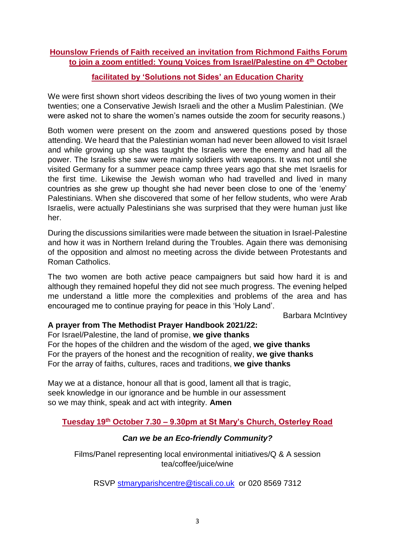### **Hounslow Friends of Faith received an invitation from Richmond Faiths Forum to join a zoom entitled: Young Voices from Israel/Palestine on 4th October**

### **facilitated by 'Solutions not Sides' an Education Charity**

We were first shown short videos describing the lives of two young women in their twenties; one a Conservative Jewish Israeli and the other a Muslim Palestinian. (We were asked not to share the women's names outside the zoom for security reasons.)

Both women were present on the zoom and answered questions posed by those attending. We heard that the Palestinian woman had never been allowed to visit Israel and while growing up she was taught the Israelis were the enemy and had all the power. The Israelis she saw were mainly soldiers with weapons. It was not until she visited Germany for a summer peace camp three years ago that she met Israelis for the first time. Likewise the Jewish woman who had travelled and lived in many countries as she grew up thought she had never been close to one of the 'enemy' Palestinians. When she discovered that some of her fellow students, who were Arab Israelis, were actually Palestinians she was surprised that they were human just like her.

During the discussions similarities were made between the situation in Israel-Palestine and how it was in Northern Ireland during the Troubles. Again there was demonising of the opposition and almost no meeting across the divide between Protestants and Roman Catholics.

The two women are both active peace campaigners but said how hard it is and although they remained hopeful they did not see much progress. The evening helped me understand a little more the complexities and problems of the area and has encouraged me to continue praying for peace in this 'Holy Land'.

Barbara McIntivey

### **A prayer from The Methodist Prayer Handbook 2021/22:**

For Israel/Palestine, the land of promise, **we give thanks** For the hopes of the children and the wisdom of the aged, **we give thanks** For the prayers of the honest and the recognition of reality, **we give thanks** For the array of faiths, cultures, races and traditions, **we give thanks**

May we at a distance, honour all that is good, lament all that is tragic, seek knowledge in our ignorance and be humble in our assessment so we may think, speak and act with integrity. **Amen**

### **Tuesday 19th October 7.30 – 9.30pm at St Mary's Church, Osterley Road**

### *Can we be an Eco-friendly Community?*

Films/Panel representing local environmental initiatives/Q & A session tea/coffee/juice/wine

RSVP [stmaryparishcentre@tiscali.co.uk](mailto:stmaryparishcentre@tiscali.co.uk) or 020 8569 7312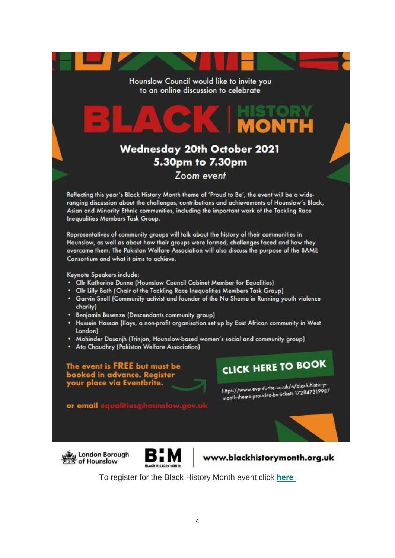Hounslow Council would like to invite you to an online discussion to celebrate

# **Wednesday 20th October 2021** 5.30pm to 7.30pm Zoom event

Reflecting this year's Black History Month theme of 'Proud to Be', the event will be a wideranging discussion about the challenges, contributions and achievements of Hounslow's Black, Asian and Minority Ethnic communities, including the important work of the Tackling Race Inequalities Members Task Group.

Representatives of community groups will talk about the history of their communities in Hounslow, as well as about how their groups were formed, challenges faced and how they overcame them. The Pakistan Welfare Association will also discuss the purpose of the BAME Consortium and what it aims to achieve.

Keynote Speakers include:

m −

- Cllr Katherine Dunne (Hounslow Council Cabinet Member for Equalities)
- Clir Lilly Bath (Chair of the Tackling Race Inequalities Members Task Group)
- Garvin Snell (Community activist and founder of the No Shame in Running youth violence charity)
- . Benjamin Busenze (Descendants community group)
- Hussein Hassan (Ilays, a non-profit organisation set up by East African community in West London)
- . Mohinder Dosanjh (Trinjan, Hounslow-based women's social and community group)
- Ata Chaudhry (Pakistan Welfare Association)

The event is FREE but must be booked in advance. Register<br>your place via Eventbrite.

**CLICK HERE TO BOOK** 

TOR

https://www.eventbrite.co.uk/e/black-history-<br>https://www.eventbrite.co.uk/e/black-historyhttps://www.eventbrite.co.uk/e/black-mail.co<br>month-theme-proud-to-be-tickets-172847319987

or email eq





www.blackhistorymonth.org.uk

To register for the Black History Month event click **[here](https://hounslow.us5.list-manage.com/track/click?u=c836c51effef2936cb32e5ec5&id=0e577ceb6b&e=f898814dc7)**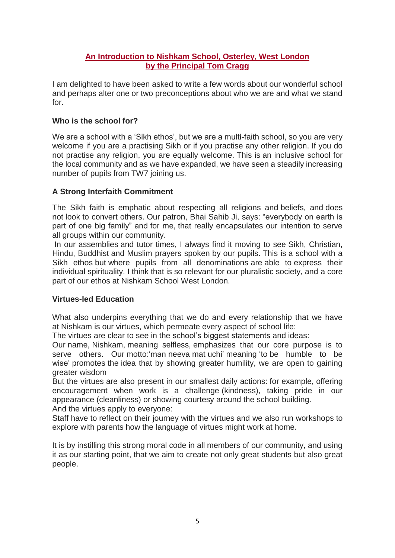### **An Introduction to Nishkam School, Osterley, West London by the Principal Tom Cragg**

I am delighted to have been asked to write a few words about our wonderful school and perhaps alter one or two preconceptions about who we are and what we stand for.

### **Who is the school for?**

We are a school with a 'Sikh ethos', but we are a multi-faith school, so you are very welcome if you are a practising Sikh or if you practise any other religion. If you do not practise any religion, you are equally welcome. This is an inclusive school for the local community and as we have expanded, we have seen a steadily increasing number of pupils from TW7 joining us.

### **A Strong Interfaith Commitment**

The Sikh faith is emphatic about respecting all religions and beliefs, and does not look to convert others. Our patron, Bhai Sahib Ji, says: "everybody on earth is part of one big family" and for me, that really encapsulates our intention to serve all groups within our community.

In our assemblies and tutor times, I always find it moving to see Sikh, Christian, Hindu, Buddhist and Muslim prayers spoken by our pupils. This is a school with a Sikh ethos but where pupils from all denominations are able to express their individual spirituality. I think that is so relevant for our pluralistic society, and a core part of our ethos at Nishkam School West London.

### **Virtues-led Education**

What also underpins everything that we do and every relationship that we have at Nishkam is our virtues, which permeate every aspect of school life:

The virtues are clear to see in the school's biggest statements and ideas:

Our name, Nishkam, meaning selfless, emphasizes that our core purpose is to serve others. Our motto:'man neeva mat uchi' meaning 'to be humble to be wise' promotes the idea that by showing greater humility, we are open to gaining greater wisdom

But the virtues are also present in our smallest daily actions: for example, offering encouragement when work is a challenge (kindness), taking pride in our appearance (cleanliness) or showing courtesy around the school building.

And the virtues apply to everyone:

Staff have to reflect on their journey with the virtues and we also run workshops to explore with parents how the language of virtues might work at home.

It is by instilling this strong moral code in all members of our community, and using it as our starting point, that we aim to create not only great students but also great people.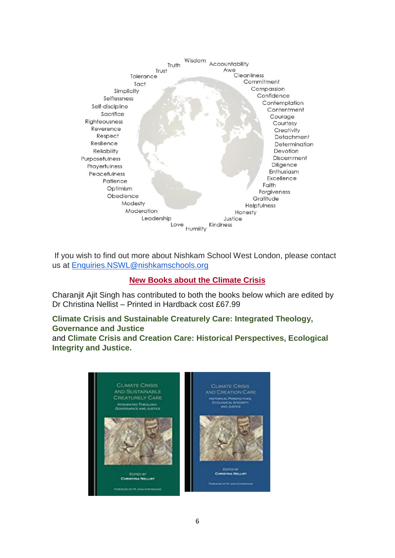

If you wish to find out more about Nishkam School West London, please contact us at [Enquiries.NSWL@nishkamschools.org](mailto:Enquiries.NSWL@nishkamschools.org)

### **New Books about the Climate Crisis**

Charanjit Ajit Singh has contributed to both the books below which are edited by Dr Christina Nellist – Printed in Hardback cost £67.9[9](https://www.amazon.co.uk/Climate-Crisis-Sustainable-Creaturely-Care/dp/1527574210/ref=sr_1_2?dchild=1&keywords=climate+crisis+and+creaturely+care&qid=1633027480&s=books&sr=1-2)

# **[Climate Crisis and Sustainable Creaturely Care: Integrated Theology,](https://www.amazon.co.uk/Climate-Crisis-Sustainable-Creaturely-Care/dp/1527574210/ref=sr_1_2?dchild=1&keywords=climate+crisis+and+creaturely+care&qid=1633027480&s=books&sr=1-2)  [Governance and Justice](https://www.amazon.co.uk/Climate-Crisis-Sustainable-Creaturely-Care/dp/1527574210/ref=sr_1_2?dchild=1&keywords=climate+crisis+and+creaturely+care&qid=1633027480&s=books&sr=1-2)**

and **Climate Crisis and Creation Care: Historical Perspectives, Ecological Integrity and Justice.**

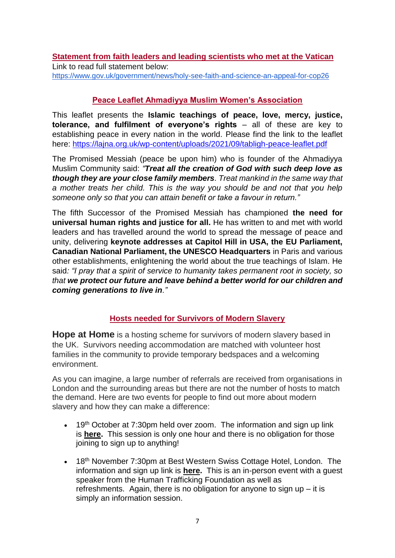**Statement from faith leaders and leading scientists who met at the Vatican**  Link to read full statement below: <https://www.gov.uk/government/news/holy-see-faith-and-science-an-appeal-for-cop26>

### **Peace Leaflet Ahmadiyya Muslim Women's Association**

This leaflet presents the **Islamic teachings of peace, love, mercy, justice, tolerance, and fulfilment of everyone's rights** – all of these are key to establishing peace in every nation in the world. Please find the link to the leaflet here:<https://lajna.org.uk/wp-content/uploads/2021/09/tabligh-peace-leaflet.pdf>

The Promised Messiah (peace be upon him) who is founder of the Ahmadiyya Muslim Community said: *"Treat all the creation of God with such deep love as though they are your close family members. Treat mankind in the same way that a mother treats her child. This is the way you should be and not that you help someone only so that you can attain benefit or take a favour in return."* 

The fifth Successor of the Promised Messiah has championed **the need for universal human rights and justice for all.** He has written to and met with world leaders and has travelled around the world to spread the message of peace and unity, delivering **keynote addresses at Capitol Hill in USA, the EU Parliament, Canadian National Parliament, the UNESCO Headquarters** in Paris and various other establishments, enlightening the world about the true teachings of Islam. He said*: "I pray that a spirit of service to humanity takes permanent root in society, so that we protect our future and leave behind a better world for our children and coming generations to live in."*

### **Hosts needed for Survivors of Modern Slavery**

**Hope at Home** is a hosting scheme for survivors of modern slavery based in the UK. Survivors needing accommodation are matched with volunteer host families in the community to provide temporary bedspaces and a welcoming environment.

As you can imagine, a large number of referrals are received from organisations in London and the surrounding areas but there are not the number of hosts to match the demand. Here are two events for people to find out more about modern slavery and how they can make a difference:

- 19<sup>th</sup> October at 7:30pm held over zoom. The information and sign up link is **[here.](https://www.eventbrite.co.uk/x/explore-hosting-with-hope-at-home-tickets-170288390159)** This session is only one hour and there is no obligation for those joining to sign up to anything!
- 18<sup>th</sup> November 7:30pm at Best Western Swiss Cottage Hotel, London. The information and sign up link is **[here.](https://www.eventbrite.co.uk/e/modern-slavery-our-response-tickets-180757449397)** This is an in-person event with a guest speaker from the Human Trafficking Foundation as well as refreshments. Again, there is no obligation for anyone to sign up – it is simply an information session.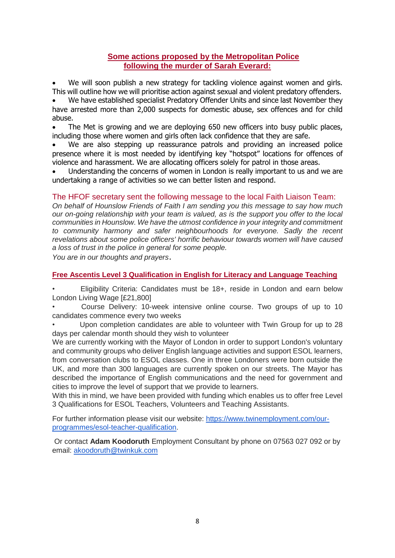### **Some actions proposed by the Metropolitan Police following the murder of Sarah Everard:**

 We will soon publish a new strategy for tackling violence against women and girls. This will outline how we will prioritise action against sexual and violent predatory offenders. 

 We have established specialist Predatory Offender Units and since last November they have arrested more than 2,000 suspects for domestic abuse, sex offences and for child abuse. 

 The Met is growing and we are deploying 650 new officers into busy public places, including those where women and girls often lack confidence that they are safe. 

 We are also stepping up reassurance patrols and providing an increased police presence where it is most needed by identifying key "hotspot" locations for offences of violence and harassment. We are allocating officers solely for patrol in those areas. 

 Understanding the concerns of women in London is really important to us and we are undertaking a range of activities so we can better listen and respond.

### The HFOF secretary sent the following message to the local Faith Liaison Team:

*On behalf of Hounslow Friends of Faith I am sending you this message to say how much our on-going relationship with your team is valued, as is the support you offer to the local communities in Hounslow. We have the utmost confidence in your integrity and commitment to community harmony and safer neighbourhoods for everyone. Sadly the recent revelations about some police officers' horrific behaviour towards women will have caused a loss of trust in the police in general for some people.*

*You are in our thoughts and prayers*.

### **Free Ascentis Level 3 Qualification in English for Literacy and Language Teaching**

• Eligibility Criteria: Candidates must be 18+, reside in London and earn below London Living Wage [£21,800]

• Course Delivery: 10-week intensive online course. Two groups of up to 10 candidates commence every two weeks

• Upon completion candidates are able to volunteer with Twin Group for up to 28 days per calendar month should they wish to volunteer

We are currently working with the Mayor of London in order to support London's voluntary and community groups who deliver English language activities and support ESOL learners, from conversation clubs to ESOL classes. One in three Londoners were born outside the UK, and more than 300 languages are currently spoken on our streets. The Mayor has described the importance of English communications and the need for government and cities to improve the level of support that we provide to learners.

With this in mind, we have been provided with funding which enables us to offer free Level 3 Qualifications for ESOL Teachers, Volunteers and Teaching Assistants.

For further information please visit our website: [https://www.twinemployment.com/our](https://www.twinemployment.com/our-programmes/esol-teacher-qualification)[programmes/esol-teacher-qualification.](https://www.twinemployment.com/our-programmes/esol-teacher-qualification)

Or contact **Adam Koodoruth** Employment Consultant by phone on 07563 027 092 or by email: [akoodoruth@twinkuk.com](mailto:akoodoruth@twinkuk.com)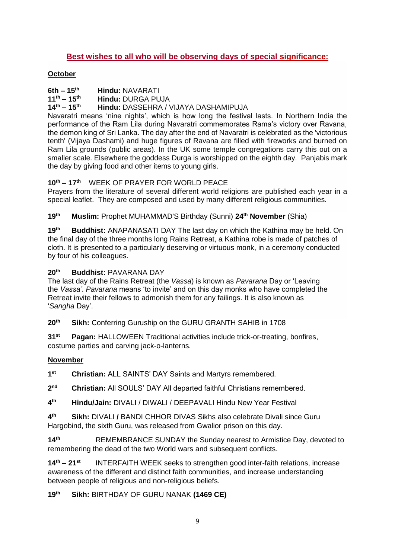### **Best wishes to all who will be observing days of special significance:**

### **October**

**6th – 15th Hindu:** NAVARATI

**11th – 15th Hindu:** DURGA PUJA

**14th – 15th Hindu:** DASSEHRA / VIJAYA DASHAMIPUJA

Navaratri means 'nine nights', which is how long the festival lasts. In Northern India the performance of the Ram Lila during Navaratri commemorates Rama's victory over Ravana, the demon king of Sri Lanka. The day after the end of Navaratri is celebrated as the 'victorious tenth' (Vijaya Dashami) and huge figures of Ravana are filled with fireworks and burned on Ram Lila grounds (public areas). In the UK some temple congregations carry this out on a smaller scale. Elsewhere the goddess Durga is worshipped on the eighth day. Panjabis mark the day by giving food and other items to young girls.

### **10th – 17th** WEEK OF PRAYER FOR WORLD PEACE

Prayers from the literature of several different world religions are published each year in a special leaflet. They are composed and used by many different religious communities.

**19th Muslim:** Prophet MUHAMMAD'S Birthday (Sunni) **24th November** (Shia)

**19th Buddhist:** ANAPANASATI DAY The last day on which the Kathina may be held. On the final day of the three months long Rains Retreat, a Kathina robe is made of patches of cloth. It is presented to a particularly deserving or virtuous monk, in a ceremony conducted by four of his colleagues.

### **20th Buddhist:** PAVARANA DAY

The last day of the Rains Retreat (the *Vassa*) is known as *Pavarana* Day or 'Leaving the *Vassa'*. *Pavarana* means 'to invite' and on this day monks who have completed the Retreat invite their fellows to admonish them for any failings. It is also known as '*Sangha* Day'.

**20th Sikh:** Conferring Guruship on the GURU GRANTH SAHIB in 1708

**31st Pagan:** HALLOWEEN Traditional activities include trick-or-treating, bonfires, costume parties and carving jack-o-lanterns.

### **November**

**1**st **Christian: ALL SAINTS' DAY Saints and Martyrs remembered.** 

**2 Christian: All SOULS' DAY All departed faithful Christians remembered.** 

 $4<sup>th</sup>$ **th Hindu/Jain:** DIVALI / DIWALI / DEEPAVALI Hindu New Year Festival

**4 Sikh: DIVALI / BANDI CHHOR DIVAS Sikhs also celebrate Divali since Guru** Hargobind, the sixth Guru, was released from Gwalior prison on this day.

**14th** REMEMBRANCE SUNDAY the Sunday nearest to Armistice Day, devoted to remembering the dead of the two World wars and subsequent conflicts.

**14th – 21st** INTERFAITH WEEK seeks to strengthen good inter-faith relations, increase awareness of the different and distinct faith communities, and increase understanding between people of religious and non-religious beliefs.

**19th Sikh:** BIRTHDAY OF GURU NANAK **(1469 CE)**